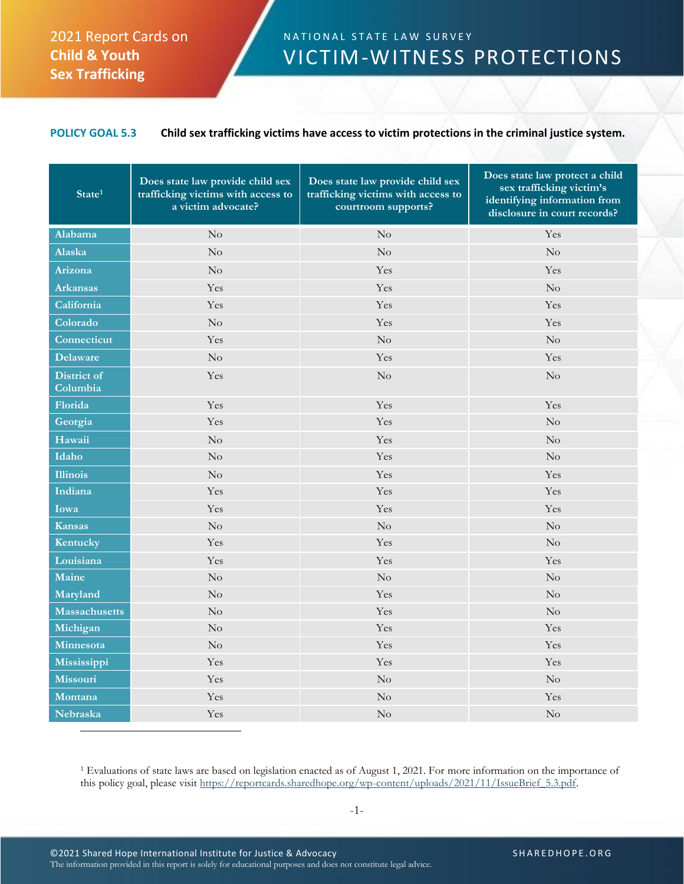## 2021 Report Cards on **Child & Youth Sex Trafficking**

## N A T I O N A L STATE LAW SURVEY VICTIM-WITNESS PROTECTIONS

## **POLICY GOAL 5.3 Child sex trafficking victims have access to victim protections in the criminal justice system.**

| State <sup>1</sup>      | Does state law provide child sex<br>trafficking victims with access to<br>a victim advocate? | Does state law provide child sex<br>trafficking victims with access to<br>courtroom supports? | Does state law protect a child<br>sex trafficking victim's<br>identifying information from<br>disclosure in court records? |
|-------------------------|----------------------------------------------------------------------------------------------|-----------------------------------------------------------------------------------------------|----------------------------------------------------------------------------------------------------------------------------|
| Alabama                 | $\overline{N}$                                                                               | $\rm No$                                                                                      | Yes                                                                                                                        |
| Alaska                  | No                                                                                           | No                                                                                            | No                                                                                                                         |
| Arizona                 | $\rm No$                                                                                     | Yes                                                                                           | Yes                                                                                                                        |
| <b>Arkansas</b>         | Yes                                                                                          | Yes                                                                                           | $\overline{N}$                                                                                                             |
| California              | Yes                                                                                          | Yes                                                                                           | Yes                                                                                                                        |
| Colorado                | $\rm No$                                                                                     | Yes                                                                                           | Yes                                                                                                                        |
| Connecticut             | Yes                                                                                          | $\rm No$                                                                                      | $\rm No$                                                                                                                   |
| <b>Delaware</b>         | $\overline{N}$                                                                               | Yes                                                                                           | Yes                                                                                                                        |
| District of<br>Columbia | Yes                                                                                          | $\rm No$                                                                                      | $\rm No$                                                                                                                   |
| Florida                 | Yes                                                                                          | Yes                                                                                           | Yes                                                                                                                        |
| Georgia                 | Yes                                                                                          | Yes                                                                                           | $\rm No$                                                                                                                   |
| Hawaii                  | $\rm No$                                                                                     | Yes                                                                                           | $\overline{N}$                                                                                                             |
| Idaho                   | $\overline{N}$                                                                               | Yes                                                                                           | $\overline{N}$                                                                                                             |
| <b>Illinois</b>         | $\overline{N}$                                                                               | Yes                                                                                           | Yes                                                                                                                        |
| Indiana                 | Yes                                                                                          | Yes                                                                                           | Yes                                                                                                                        |
| Iowa                    | Yes                                                                                          | Yes                                                                                           | Yes                                                                                                                        |
| <b>Kansas</b>           | $\overline{N}$                                                                               | $\overline{N}$                                                                                | $\overline{N}$ o                                                                                                           |
| Kentucky                | Yes                                                                                          | Yes                                                                                           | $\rm No$                                                                                                                   |
| Louisiana               | Yes                                                                                          | Yes                                                                                           | Yes                                                                                                                        |
| Maine                   | $\overline{N}$                                                                               | $\rm No$                                                                                      | $\rm No$                                                                                                                   |
| Maryland                | $\overline{N}$                                                                               | Yes                                                                                           | $\rm No$                                                                                                                   |
| <b>Massachusetts</b>    | $\rm No$                                                                                     | Yes                                                                                           | $\overline{N}$                                                                                                             |
| Michigan                | $\rm No$                                                                                     | Yes                                                                                           | Yes                                                                                                                        |
| Minnesota               | $\rm No$                                                                                     | Yes                                                                                           | Yes                                                                                                                        |
| Mississippi             | Yes                                                                                          | Yes                                                                                           | Yes                                                                                                                        |
| <b>Missouri</b>         | Yes                                                                                          | No                                                                                            | $\rm No$                                                                                                                   |
| Montana                 | Yes                                                                                          | $\rm No$                                                                                      | Yes                                                                                                                        |
| Nebraska                | Yes                                                                                          | No                                                                                            | $\rm No$                                                                                                                   |

<sup>1</sup> Evaluations of state laws are based on legislation enacted as of August 1, 2021. For more information on the importance of this policy goal, please visit [https://reportcards.sharedhope.org/wp-content/uploads/2021/11/IssueBrief\\_5.3.pdf.](https://reportcards.sharedhope.org/wp-content/uploads/2021/11/IssueBrief_5.3.pdf)